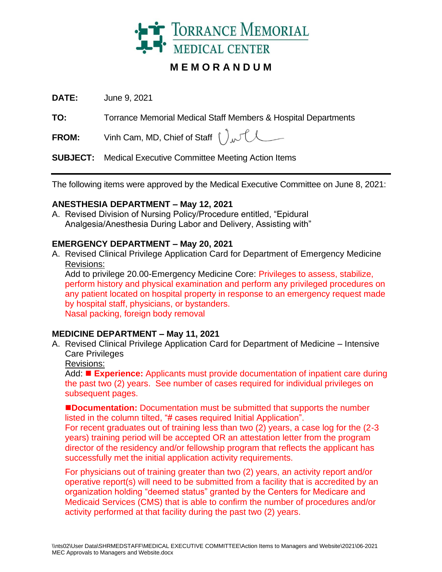

# **M E M O R A N D U M**

**DATE:** June 9, 2021

**TO:** Torrance Memorial Medical Staff Members & Hospital Departments

**FROM:** Vinh Cam, MD, Chief of Staff  $\int_{\Lambda}$ 

**SUBJECT:** Medical Executive Committee Meeting Action Items

The following items were approved by the Medical Executive Committee on June 8, 2021:

#### **ANESTHESIA DEPARTMENT – May 12, 2021**

A. Revised Division of Nursing Policy/Procedure entitled, "Epidural Analgesia/Anesthesia During Labor and Delivery, Assisting with"

#### **EMERGENCY DEPARTMENT – May 20, 2021**

A. Revised Clinical Privilege Application Card for Department of Emergency Medicine Revisions:

Add to privilege 20.00-Emergency Medicine Core: Privileges to assess, stabilize, perform history and physical examination and perform any privileged procedures on any patient located on hospital property in response to an emergency request made by hospital staff, physicians, or bystanders. Nasal packing, foreign body removal

#### **MEDICINE DEPARTMENT – May 11, 2021**

A. Revised Clinical Privilege Application Card for Department of Medicine – Intensive Care Privileges

Revisions:

Add: ◼ **Experience:** Applicants must provide documentation of inpatient care during the past two (2) years. See number of cases required for individual privileges on subsequent pages.

■**Documentation:** Documentation must be submitted that supports the number listed in the column tilted, "# cases required Initial Application".

For recent graduates out of training less than two (2) years, a case log for the (2-3 years) training period will be accepted OR an attestation letter from the program director of the residency and/or fellowship program that reflects the applicant has successfully met the initial application activity requirements.

For physicians out of training greater than two (2) years, an activity report and/or operative report(s) will need to be submitted from a facility that is accredited by an organization holding "deemed status" granted by the Centers for Medicare and Medicaid Services (CMS) that is able to confirm the number of procedures and/or activity performed at that facility during the past two (2) years.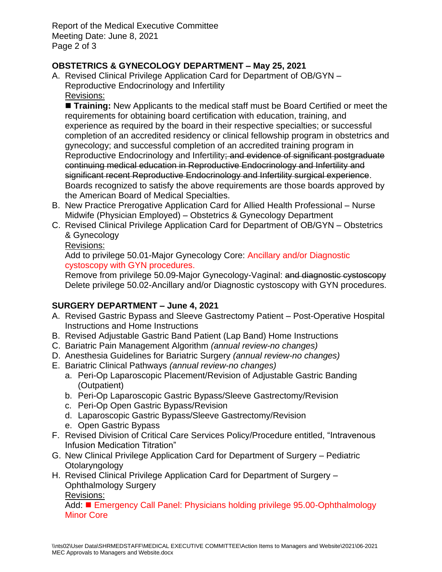Report of the Medical Executive Committee Meeting Date: June 8, 2021 Page 2 of 3

# **OBSTETRICS & GYNECOLOGY DEPARTMENT – May 25, 2021**

A. Revised Clinical Privilege Application Card for Department of OB/GYN – Reproductive Endocrinology and Infertility Revisions:

■ Training: New Applicants to the medical staff must be Board Certified or meet the requirements for obtaining board certification with education, training, and experience as required by the board in their respective specialties; or successful completion of an accredited residency or clinical fellowship program in obstetrics and gynecology; and successful completion of an accredited training program in Reproductive Endocrinology and Infertility; and evidence of significant postgraduate continuing medical education in Reproductive Endocrinology and Infertility and significant recent Reproductive Endocrinology and Infertility surgical experience. Boards recognized to satisfy the above requirements are those boards approved by the American Board of Medical Specialties.

- B. New Practice Prerogative Application Card for Allied Health Professional Nurse Midwife (Physician Employed) – Obstetrics & Gynecology Department
- C. Revised Clinical Privilege Application Card for Department of OB/GYN Obstetrics & Gynecology
	- Revisions:

Add to privilege 50.01-Major Gynecology Core: Ancillary and/or Diagnostic cystoscopy with GYN procedures.

Remove from privilege 50.09-Major Gynecology-Vaginal: and diagnostic cystoscopy Delete privilege 50.02-Ancillary and/or Diagnostic cystoscopy with GYN procedures.

# **SURGERY DEPARTMENT – June 4, 2021**

- A. Revised Gastric Bypass and Sleeve Gastrectomy Patient Post-Operative Hospital Instructions and Home Instructions
- B. Revised Adjustable Gastric Band Patient (Lap Band) Home Instructions
- C. Bariatric Pain Management Algorithm *(annual review-no changes)*
- D. Anesthesia Guidelines for Bariatric Surgery *(annual review-no changes)*
- E. Bariatric Clinical Pathways *(annual review-no changes)*
	- a. Peri-Op Laparoscopic Placement/Revision of Adjustable Gastric Banding (Outpatient)
	- b. Peri-Op Laparoscopic Gastric Bypass/Sleeve Gastrectomy/Revision
	- c. Peri-Op Open Gastric Bypass/Revision
	- d. Laparoscopic Gastric Bypass/Sleeve Gastrectomy/Revision
	- e. Open Gastric Bypass
- F. Revised Division of Critical Care Services Policy/Procedure entitled, "Intravenous Infusion Medication Titration"
- G. New Clinical Privilege Application Card for Department of Surgery Pediatric Otolaryngology
- H. Revised Clinical Privilege Application Card for Department of Surgery Ophthalmology Surgery

Revisions:

Add: ◼ Emergency Call Panel: Physicians holding privilege 95.00-Ophthalmology Minor Core